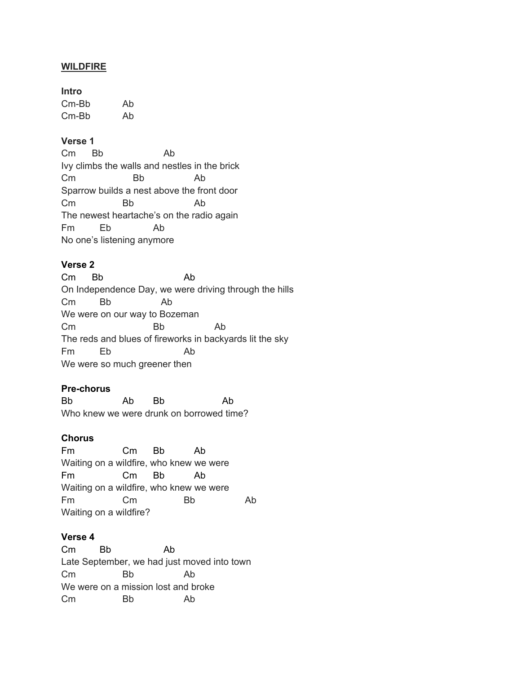### **WILDFIRE**

#### **Intro**

| $Cm-Bb$ | Ab |
|---------|----|
| $Cm-Bb$ | Ab |

# **Verse 1**

Cm Bb Ab Ivy climbs the walls and nestles in the brick Cm Bb Ab Sparrow builds a nest above the front door Cm Bb Ab The newest heartache's on the radio again Fm Eb Ab No one's listening anymore

# **Verse 2**

Cm Bb Ab On Independence Day, we were driving through the hills Cm Bb Ab We were on our way to Bozeman Cm Bb Ab The reds and blues of fireworks in backyards lit the sky Fm Eb Ab We were so much greener then

# **Pre-chorus**

Bb Ab Bb Ab Who knew we were drunk on borrowed time?

### **Chorus**

Fm Cm Bb Ab Waiting on a wildfire, who knew we were Fm Cm Bb Ab Waiting on a wildfire, who knew we were Fm Cm Bb Ab Waiting on a wildfire?

#### **Verse 4**

Cm Bb Ab Late September, we had just moved into town Cm Bb Ab We were on a mission lost and broke Cm Bb Ab